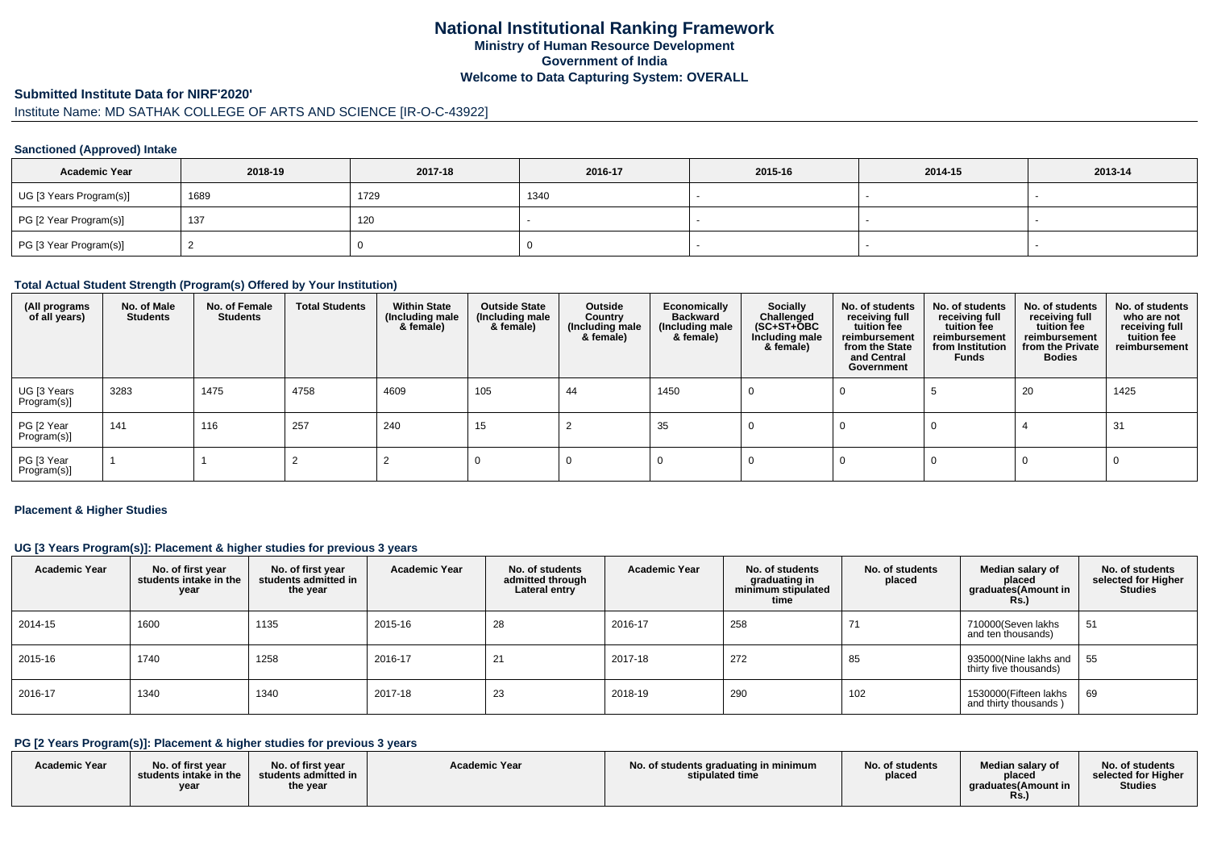## **National Institutional Ranking FrameworkMinistry of Human Resource DevelopmentGovernment of IndiaWelcome to Data Capturing System: OVERALL**

#### **Submitted Institute Data for NIRF'2020'**

# Institute Name: MD SATHAK COLLEGE OF ARTS AND SCIENCE [IR-O-C-43922]

#### **Sanctioned (Approved) Intake**

| <b>Academic Year</b>    | 2018-19 | 2017-18 | 2016-17 | 2015-16 | 2014-15 | 2013-14 |
|-------------------------|---------|---------|---------|---------|---------|---------|
| UG [3 Years Program(s)] | 1689    | 1729    | 1340    |         |         |         |
| PG [2 Year Program(s)]  | 137     | 120     |         |         |         |         |
| PG [3 Year Program(s)]  |         |         |         |         |         |         |

#### **Total Actual Student Strength (Program(s) Offered by Your Institution)**

| (All programs<br>of all years) | No. of Male<br><b>Students</b> | No. of Female<br><b>Students</b> | <b>Total Students</b> | <b>Within State</b><br>(Including male<br>& female) | <b>Outside State</b><br>(Including male<br>& female) | Outside<br>Country<br>(Including male<br>& female) | Economically<br><b>Backward</b><br>(Including male<br>& female) | Socially<br>Challenged<br>$(SC+ST+OBC)$<br>Including male<br>& female) | No. of students<br>receiving full<br>tuition fee<br>reimbursement<br>from the State<br>and Central<br>Government | No. of students<br>receiving full<br>tuition fee<br>reimbursement<br>from Institution<br>Funds | No. of students<br>receiving full<br>tuition fee<br>reimbursement<br>from the Private<br><b>Bodies</b> | No. of students<br>who are not<br>receiving full<br>tuition fee<br>reimbursement |
|--------------------------------|--------------------------------|----------------------------------|-----------------------|-----------------------------------------------------|------------------------------------------------------|----------------------------------------------------|-----------------------------------------------------------------|------------------------------------------------------------------------|------------------------------------------------------------------------------------------------------------------|------------------------------------------------------------------------------------------------|--------------------------------------------------------------------------------------------------------|----------------------------------------------------------------------------------|
| UG [3 Years<br>Program(s)]     | 3283                           | 1475                             | 4758                  | 4609                                                | 105                                                  | 44                                                 | 1450                                                            |                                                                        |                                                                                                                  |                                                                                                | 20                                                                                                     | 1425                                                                             |
| PG [2 Year<br>Program(s)]      | 141                            | 116                              | 257                   | 240                                                 | 15                                                   |                                                    | 35                                                              |                                                                        |                                                                                                                  |                                                                                                |                                                                                                        | 31                                                                               |
| PG [3 Year<br>Program(s)]      |                                |                                  |                       |                                                     |                                                      |                                                    |                                                                 |                                                                        |                                                                                                                  |                                                                                                |                                                                                                        |                                                                                  |

#### **Placement & Higher Studies**

### **UG [3 Years Program(s)]: Placement & higher studies for previous 3 years**

| <b>Academic Year</b> | No. of first year<br>students intake in the<br>year | No. of first year<br>students admitted in<br>the year | <b>Academic Year</b> | No. of students<br>admitted through<br>Lateral entry | <b>Academic Year</b> | No. of students<br>graduating in<br>minimum stipulated<br>time | No. of students<br>placed | Median salary of<br>placed<br>graduates(Amount in<br><b>Rs.)</b> | No. of students<br>selected for Higher<br><b>Studies</b> |
|----------------------|-----------------------------------------------------|-------------------------------------------------------|----------------------|------------------------------------------------------|----------------------|----------------------------------------------------------------|---------------------------|------------------------------------------------------------------|----------------------------------------------------------|
| 2014-15              | 1600                                                | 1135                                                  | 2015-16              | 28                                                   | 2016-17              | 258                                                            | 71                        | 710000(Seven lakhs<br>and ten thousands)                         | 51                                                       |
| 2015-16              | 1740                                                | 1258                                                  | 2016-17              | 21                                                   | 2017-18              | 272                                                            | 85                        | 935000(Nine lakhs and  <br>thirty five thousands)                | 55                                                       |
| 2016-17              | 1340                                                | 1340                                                  | 2017-18              | 23                                                   | 2018-19              | 290                                                            | 102                       | 1530000(Fifteen lakhs<br>and thirty thousands)                   | 69                                                       |

## **PG [2 Years Program(s)]: Placement & higher studies for previous 3 years**

| <b>Academic Year</b> | No. of first vear<br>students intake in the<br>yea | No. of first year<br>students admitted in<br>the year | <b>Academic Year</b> | No. of students graduating in minimum<br>stipulated time | No. of students<br>placed | Median salary of<br>placed<br>araduates (Amount in<br>KS. | No. of students<br>selected for Higher<br><b>Studies</b> |
|----------------------|----------------------------------------------------|-------------------------------------------------------|----------------------|----------------------------------------------------------|---------------------------|-----------------------------------------------------------|----------------------------------------------------------|
|----------------------|----------------------------------------------------|-------------------------------------------------------|----------------------|----------------------------------------------------------|---------------------------|-----------------------------------------------------------|----------------------------------------------------------|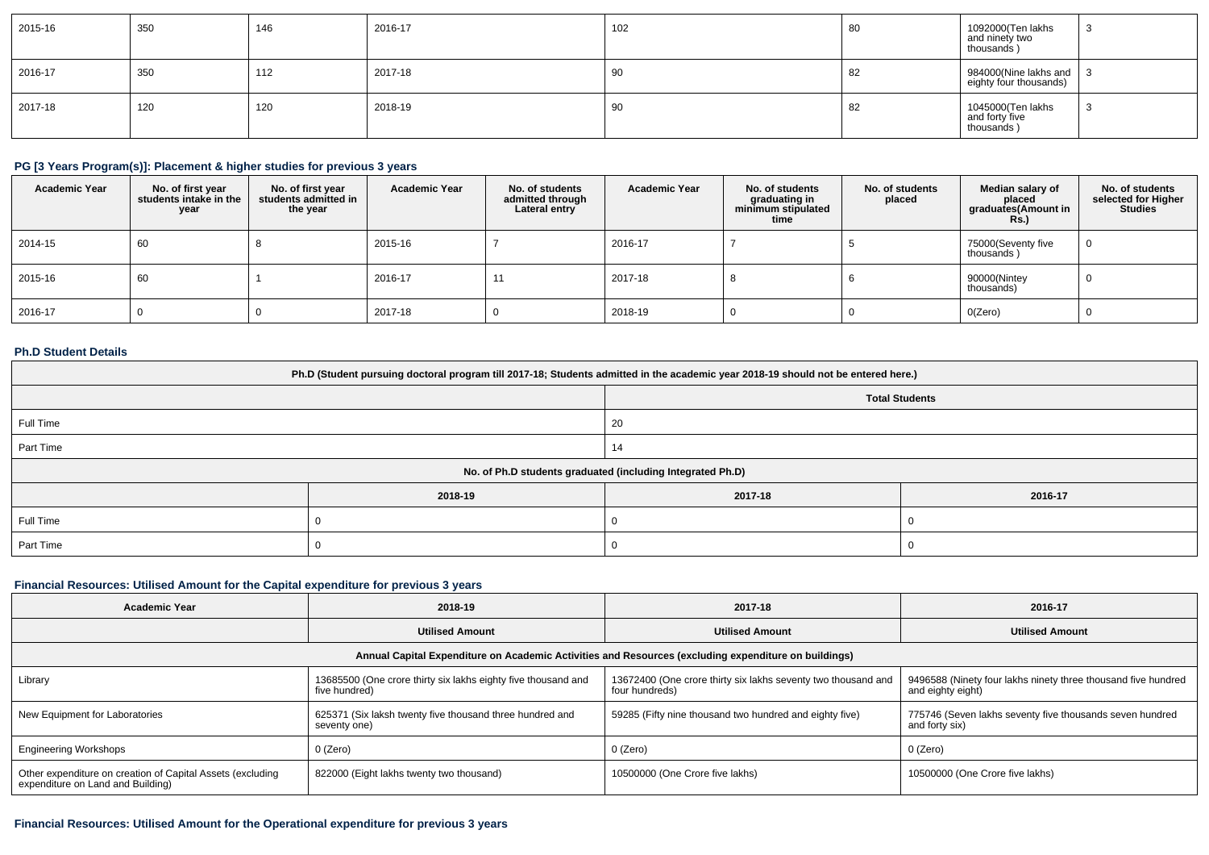| 2015-16 | 350 | 146 | 2016-17 | 102 | 80 | 1092000(Ten lakhs<br>and ninety two<br>thousands)         | - ت |
|---------|-----|-----|---------|-----|----|-----------------------------------------------------------|-----|
| 2016-17 | 350 | 112 | 2017-18 | 90  | ∘  | 984000(Nine lakhs and $\vert$ 3<br>eighty four thousands) |     |
| 2017-18 | 120 | 120 | 2018-19 | 90  | 82 | 1045000(Ten lakhs<br>and forty five<br>thousands)         | ು   |

## **PG [3 Years Program(s)]: Placement & higher studies for previous 3 years**

| <b>Academic Year</b> | No. of first year<br>students intake in the<br>year | No. of first year<br>students admitted in<br>the year | <b>Academic Year</b> | No. of students<br>admitted through<br>Lateral entry | <b>Academic Year</b> | No. of students<br>graduating in<br>minimum stipulated<br>time | No. of students<br>placed | Median salary of<br>placed<br>graduates(Amount in<br>R <sub>S</sub> | No. of students<br>selected for Higher<br><b>Studies</b> |
|----------------------|-----------------------------------------------------|-------------------------------------------------------|----------------------|------------------------------------------------------|----------------------|----------------------------------------------------------------|---------------------------|---------------------------------------------------------------------|----------------------------------------------------------|
| 2014-15              | 60                                                  |                                                       | 2015-16              |                                                      | 2016-17              |                                                                |                           | 75000(Seventy five<br>thousands)                                    | ∣∪                                                       |
| 2015-16              | 60                                                  |                                                       | 2016-17              | 11                                                   | 2017-18              |                                                                |                           | 90000(Nintey<br>thousands)                                          |                                                          |
| 2016-17              |                                                     |                                                       | 2017-18              |                                                      | 2018-19              |                                                                |                           | O(Zero)                                                             |                                                          |

### **Ph.D Student Details**

| Ph.D (Student pursuing doctoral program till 2017-18; Students admitted in the academic year 2018-19 should not be entered here.) |         |                                                            |         |  |  |  |
|-----------------------------------------------------------------------------------------------------------------------------------|---------|------------------------------------------------------------|---------|--|--|--|
| <b>Total Students</b>                                                                                                             |         |                                                            |         |  |  |  |
| Full Time                                                                                                                         |         | 20                                                         |         |  |  |  |
| Part Time                                                                                                                         |         |                                                            |         |  |  |  |
|                                                                                                                                   |         | No. of Ph.D students graduated (including Integrated Ph.D) |         |  |  |  |
|                                                                                                                                   | 2018-19 | 2017-18                                                    | 2016-17 |  |  |  |
| Full Time                                                                                                                         |         |                                                            |         |  |  |  |
| Part Time                                                                                                                         |         |                                                            |         |  |  |  |

#### **Financial Resources: Utilised Amount for the Capital expenditure for previous 3 years**

| <b>Academic Year</b>                                                                                 | 2018-19                                                                        |                                                                                 | 2016-17                                                                            |  |  |  |  |
|------------------------------------------------------------------------------------------------------|--------------------------------------------------------------------------------|---------------------------------------------------------------------------------|------------------------------------------------------------------------------------|--|--|--|--|
|                                                                                                      | <b>Utilised Amount</b>                                                         | <b>Utilised Amount</b>                                                          | <b>Utilised Amount</b>                                                             |  |  |  |  |
| Annual Capital Expenditure on Academic Activities and Resources (excluding expenditure on buildings) |                                                                                |                                                                                 |                                                                                    |  |  |  |  |
| Library                                                                                              | 13685500 (One crore thirty six lakhs eighty five thousand and<br>five hundred) | 13672400 (One crore thirty six lakhs seventy two thousand and<br>four hundreds) | 9496588 (Ninety four lakhs ninety three thousand five hundred<br>and eighty eight) |  |  |  |  |
| New Equipment for Laboratories                                                                       | 625371 (Six laksh twenty five thousand three hundred and<br>seventy one)       | 59285 (Fifty nine thousand two hundred and eighty five)                         | 775746 (Seven lakhs seventy five thousands seven hundred<br>and forty six)         |  |  |  |  |
| <b>Engineering Workshops</b>                                                                         | 0 (Zero)                                                                       | 0 (Zero)                                                                        | 0 (Zero)                                                                           |  |  |  |  |
| Other expenditure on creation of Capital Assets (excluding<br>expenditure on Land and Building)      | 822000 (Eight lakhs twenty two thousand)                                       | 10500000 (One Crore five lakhs)                                                 | 10500000 (One Crore five lakhs)                                                    |  |  |  |  |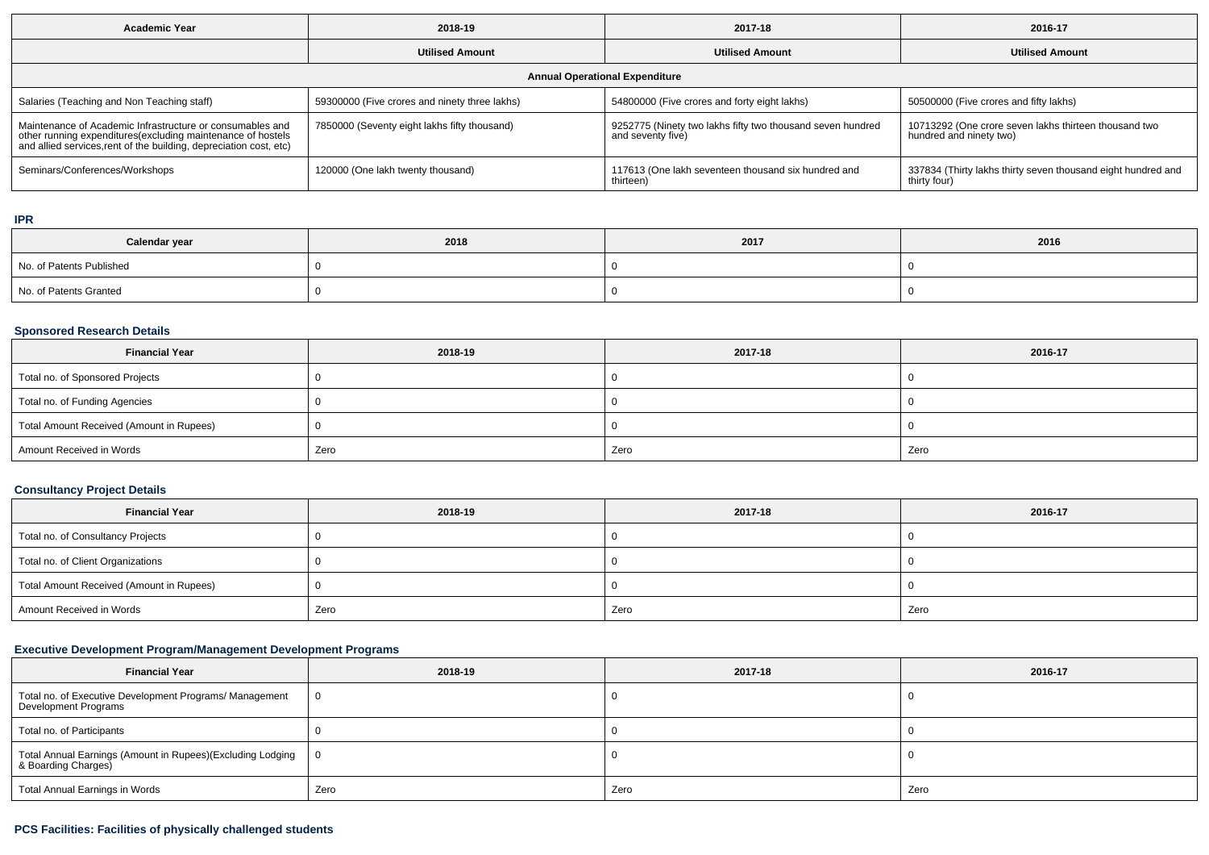| Academic Year                                                                                                                                                                                  | 2018-19                                       | 2017-18                                                                         | 2016-17                                                                          |  |  |  |  |  |
|------------------------------------------------------------------------------------------------------------------------------------------------------------------------------------------------|-----------------------------------------------|---------------------------------------------------------------------------------|----------------------------------------------------------------------------------|--|--|--|--|--|
|                                                                                                                                                                                                | <b>Utilised Amount</b>                        | <b>Utilised Amount</b>                                                          | <b>Utilised Amount</b>                                                           |  |  |  |  |  |
| <b>Annual Operational Expenditure</b>                                                                                                                                                          |                                               |                                                                                 |                                                                                  |  |  |  |  |  |
| Salaries (Teaching and Non Teaching staff)                                                                                                                                                     | 59300000 (Five crores and ninety three lakhs) | 54800000 (Five crores and forty eight lakhs)                                    | 50500000 (Five crores and fifty lakhs)                                           |  |  |  |  |  |
| Maintenance of Academic Infrastructure or consumables and<br>other running expenditures(excluding maintenance of hostels<br>and allied services, rent of the building, depreciation cost, etc) | 7850000 (Seventy eight lakhs fifty thousand)  | 9252775 (Ninety two lakhs fifty two thousand seven hundred<br>and seventy five) | 10713292 (One crore seven lakhs thirteen thousand two<br>hundred and ninety two) |  |  |  |  |  |
| Seminars/Conferences/Workshops                                                                                                                                                                 | 120000 (One lakh twenty thousand)             | 117613 (One lakh seventeen thousand six hundred and<br>thirteen                 | 337834 (Thirty lakhs thirty seven thousand eight hundred and<br>thirty four)     |  |  |  |  |  |

#### **IPR**

| Calendar year            | 2018 | 2017 | 2016 |
|--------------------------|------|------|------|
| No. of Patents Published |      |      |      |
| No. of Patents Granted   |      |      |      |

#### **Sponsored Research Details**

| <b>Financial Year</b>                    | 2018-19 | 2017-18 | 2016-17 |
|------------------------------------------|---------|---------|---------|
| Total no. of Sponsored Projects          |         |         |         |
| Total no. of Funding Agencies            |         |         |         |
| Total Amount Received (Amount in Rupees) |         |         |         |
| Amount Received in Words                 | Zero    | Zero    | Zero    |

## **Consultancy Project Details**

| <b>Financial Year</b>                    | 2018-19 | 2017-18 | 2016-17 |
|------------------------------------------|---------|---------|---------|
| Total no. of Consultancy Projects        |         |         |         |
| Total no. of Client Organizations        |         |         |         |
| Total Amount Received (Amount in Rupees) |         |         |         |
| Amount Received in Words                 | Zero    | Zero    | Zero    |

## **Executive Development Program/Management Development Programs**

| <b>Financial Year</b>                                                             | 2018-19 | 2017-18 | 2016-17 |  |  |
|-----------------------------------------------------------------------------------|---------|---------|---------|--|--|
| Total no. of Executive Development Programs/ Management<br>Development Programs   |         |         |         |  |  |
| Total no. of Participants                                                         |         |         |         |  |  |
| Total Annual Earnings (Amount in Rupees)(Excluding Lodging<br>& Boarding Charges) |         |         |         |  |  |
| Total Annual Earnings in Words                                                    | Zero    | Zero    | Zero    |  |  |

# **PCS Facilities: Facilities of physically challenged students**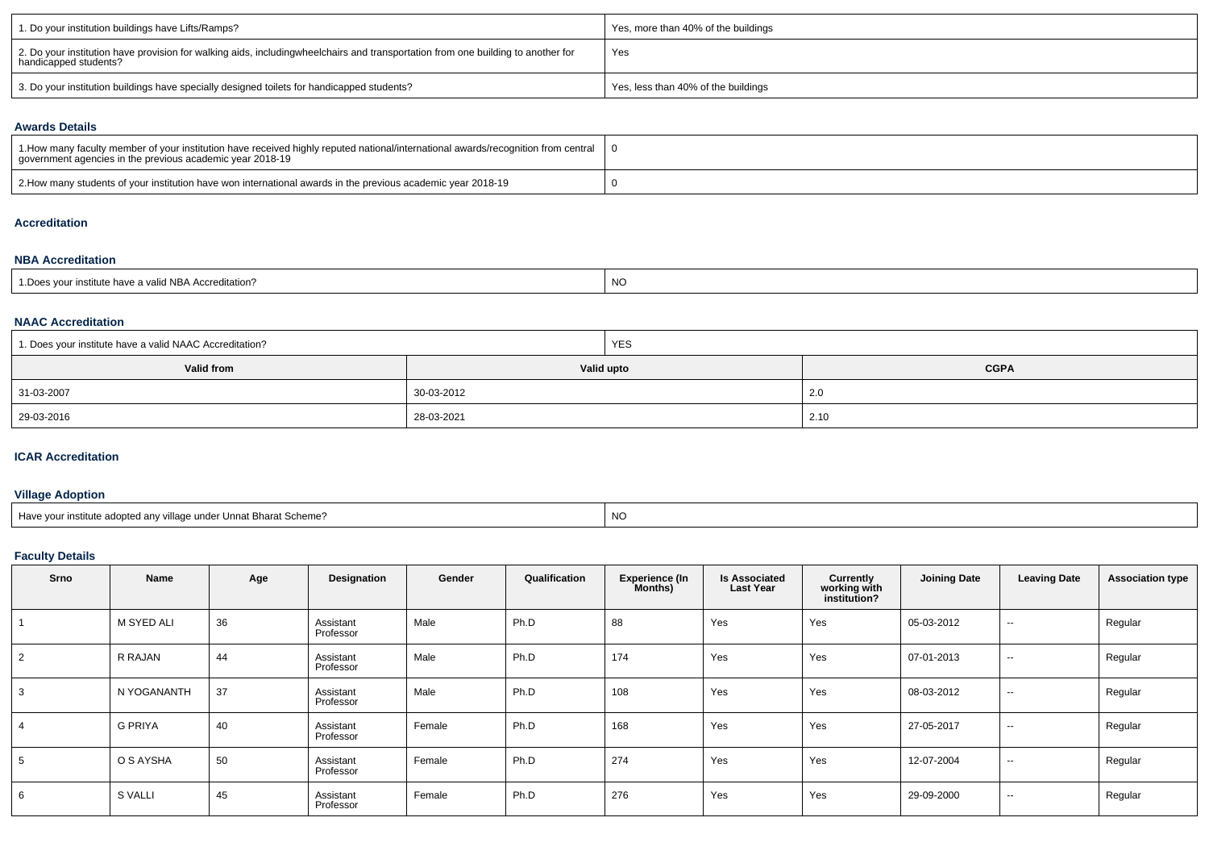| 1. Do your institution buildings have Lifts/Ramps?                                                                                                        | Yes, more than 40% of the buildings |
|-----------------------------------------------------------------------------------------------------------------------------------------------------------|-------------------------------------|
| 2. Do your institution have provision for walking aids, includingwheelchairs and transportation from one building to another for<br>handicapped students? | Yes                                 |
| 3. Do your institution buildings have specially designed toilets for handicapped students?                                                                | Yes, less than 40% of the buildings |

#### **Awards Details**

| 1.How many faculty member of your institution have received highly reputed national/international awards/recognition from central<br>government agencies in the previous academic year 2018-19 |  |
|------------------------------------------------------------------------------------------------------------------------------------------------------------------------------------------------|--|
| 2. How many students of your institution have won international awards in the previous academic year 2018-19                                                                                   |  |

### **Accreditation**

#### **NBA Accreditation**

#### **NAAC Accreditation**

| 1. Does your institute have a valid NAAC Accreditation? |            | <b>YES</b> |             |  |  |  |
|---------------------------------------------------------|------------|------------|-------------|--|--|--|
| Valid from                                              | Valid upto |            | <b>CGPA</b> |  |  |  |
| 31-03-2007                                              | 30-03-2012 |            | 2.0         |  |  |  |
| 29-03-2016                                              | 28-03-2021 |            | 2.10        |  |  |  |

#### **ICAR Accreditation**

## **Village Adoption**

## **Faculty Details**

| Srno           | Name           | Age | Designation            | Gender | Qualification | <b>Experience (In</b><br>Months) | <b>Is Associated</b><br><b>Last Year</b> | Currently<br>working with<br>institution? | <b>Joining Date</b> | <b>Leaving Date</b> | <b>Association type</b> |
|----------------|----------------|-----|------------------------|--------|---------------|----------------------------------|------------------------------------------|-------------------------------------------|---------------------|---------------------|-------------------------|
|                | M SYED ALI     | 36  | Assistant<br>Professor | Male   | Ph.D          | 88                               | Yes                                      | Yes                                       | 05-03-2012          | $\sim$              | Regular                 |
| $\overline{2}$ | R RAJAN        | 44  | Assistant<br>Professor | Male   | Ph.D          | 174                              | Yes                                      | Yes                                       | 07-01-2013          | $\sim$              | Regular                 |
| 3              | N YOGANANTH    | 37  | Assistant<br>Professor | Male   | Ph.D          | 108                              | Yes                                      | Yes                                       | 08-03-2012          | $\sim$              | Regular                 |
| $\overline{4}$ | <b>G PRIYA</b> | 40  | Assistant<br>Professor | Female | Ph.D          | 168                              | Yes                                      | Yes                                       | 27-05-2017          | $\sim$              | Regular                 |
| 5              | O S AYSHA      | 50  | Assistant<br>Professor | Female | Ph.D          | 274                              | Yes                                      | Yes                                       | 12-07-2004          | $\sim$              | Regular                 |
| 6              | S VALLI        | 45  | Assistant<br>Professor | Female | Ph.D          | 276                              | Yes                                      | Yes                                       | 29-09-2000          | $\sim$              | Regular                 |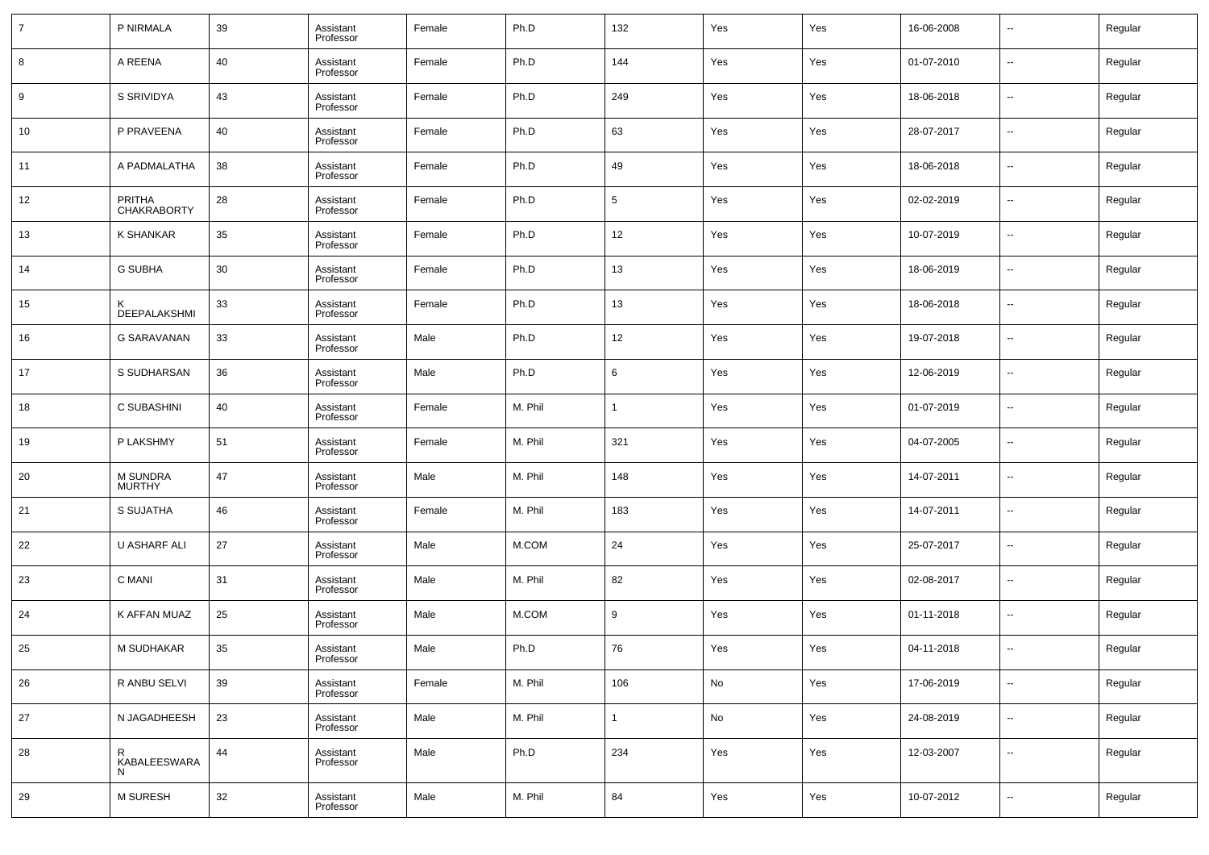| $\overline{7}$ | P NIRMALA                           | 39 | Assistant<br>Professor | Female | Ph.D    | 132          | Yes | Yes | 16-06-2008 | $\overline{\phantom{a}}$ | Regular |
|----------------|-------------------------------------|----|------------------------|--------|---------|--------------|-----|-----|------------|--------------------------|---------|
| 8              | A REENA                             | 40 | Assistant<br>Professor | Female | Ph.D    | 144          | Yes | Yes | 01-07-2010 | $\overline{\phantom{a}}$ | Regular |
| 9              | S SRIVIDYA                          | 43 | Assistant<br>Professor | Female | Ph.D    | 249          | Yes | Yes | 18-06-2018 | $\overline{\phantom{a}}$ | Regular |
| 10             | P PRAVEENA                          | 40 | Assistant<br>Professor | Female | Ph.D    | 63           | Yes | Yes | 28-07-2017 | $\overline{\phantom{a}}$ | Regular |
| 11             | A PADMALATHA                        | 38 | Assistant<br>Professor | Female | Ph.D    | 49           | Yes | Yes | 18-06-2018 | $\overline{\phantom{a}}$ | Regular |
| 12             | <b>PRITHA</b><br><b>CHAKRABORTY</b> | 28 | Assistant<br>Professor | Female | Ph.D    | 5            | Yes | Yes | 02-02-2019 | $\overline{\phantom{a}}$ | Regular |
| 13             | <b>K SHANKAR</b>                    | 35 | Assistant<br>Professor | Female | Ph.D    | 12           | Yes | Yes | 10-07-2019 | $\overline{\phantom{a}}$ | Regular |
| 14             | <b>G SUBHA</b>                      | 30 | Assistant<br>Professor | Female | Ph.D    | 13           | Yes | Yes | 18-06-2019 | $\overline{\phantom{a}}$ | Regular |
| 15             | ĸ<br>DEEPALAKSHMI                   | 33 | Assistant<br>Professor | Female | Ph.D    | 13           | Yes | Yes | 18-06-2018 | $\overline{\phantom{a}}$ | Regular |
| 16             | <b>G SARAVANAN</b>                  | 33 | Assistant<br>Professor | Male   | Ph.D    | 12           | Yes | Yes | 19-07-2018 | $\overline{\phantom{a}}$ | Regular |
| 17             | S SUDHARSAN                         | 36 | Assistant<br>Professor | Male   | Ph.D    | 6            | Yes | Yes | 12-06-2019 | $\overline{\phantom{a}}$ | Regular |
| 18             | C SUBASHINI                         | 40 | Assistant<br>Professor | Female | M. Phil | $\mathbf{1}$ | Yes | Yes | 01-07-2019 | $\overline{\phantom{a}}$ | Regular |
| 19             | P LAKSHMY                           | 51 | Assistant<br>Professor | Female | M. Phil | 321          | Yes | Yes | 04-07-2005 | $\overline{\phantom{a}}$ | Regular |
| 20             | M SUNDRA<br><b>MURTHY</b>           | 47 | Assistant<br>Professor | Male   | M. Phil | 148          | Yes | Yes | 14-07-2011 | --                       | Regular |
| 21             | S SUJATHA                           | 46 | Assistant<br>Professor | Female | M. Phil | 183          | Yes | Yes | 14-07-2011 | $\overline{\phantom{a}}$ | Regular |
| 22             | U ASHARF ALI                        | 27 | Assistant<br>Professor | Male   | M.COM   | 24           | Yes | Yes | 25-07-2017 | $\overline{\phantom{a}}$ | Regular |
| 23             | C MANI                              | 31 | Assistant<br>Professor | Male   | M. Phil | 82           | Yes | Yes | 02-08-2017 | $\overline{\phantom{a}}$ | Regular |
| 24             | K AFFAN MUAZ                        | 25 | Assistant<br>Professor | Male   | M.COM   | 9            | Yes | Yes | 01-11-2018 | $\overline{\phantom{a}}$ | Regular |
| 25             | M SUDHAKAR                          | 35 | Assistant<br>Professor | Male   | Ph.D    | 76           | Yes | Yes | 04-11-2018 | $\sim$                   | Regular |
| 26             | R ANBU SELVI                        | 39 | Assistant<br>Professor | Female | M. Phil | 106          | No  | Yes | 17-06-2019 | ۰.                       | Regular |
| 27             | N JAGADHEESH                        | 23 | Assistant<br>Professor | Male   | M. Phil | $\mathbf{1}$ | No  | Yes | 24-08-2019 | ۰.                       | Regular |
| 28             | R<br>KABALEESWARA<br>N              | 44 | Assistant<br>Professor | Male   | Ph.D    | 234          | Yes | Yes | 12-03-2007 | $\overline{\phantom{a}}$ | Regular |
| 29             | M SURESH                            | 32 | Assistant<br>Professor | Male   | M. Phil | 84           | Yes | Yes | 10-07-2012 | $\overline{\phantom{a}}$ | Regular |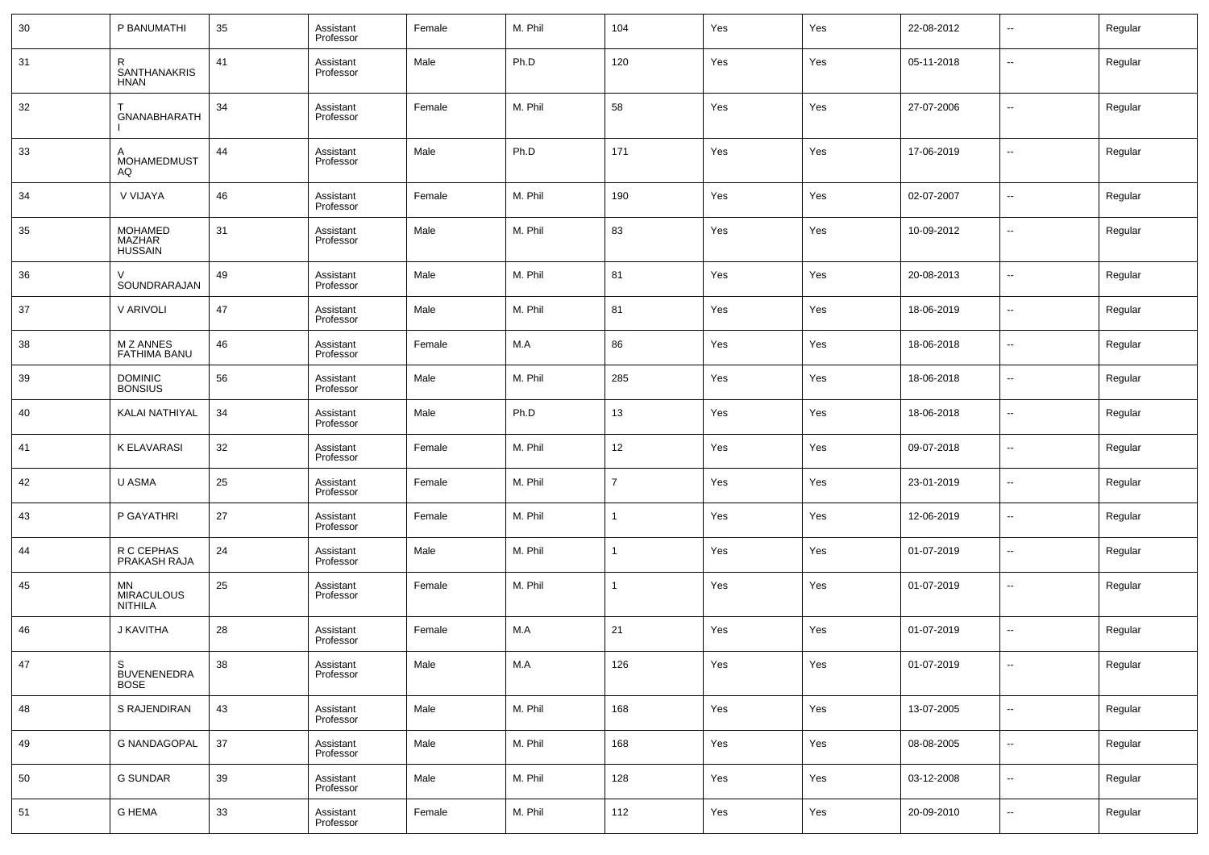| 30 | P BANUMATHI                             | 35 | Assistant<br>Professor | Female | M. Phil | 104            | Yes | Yes | 22-08-2012 | $\sim$                   | Regular |
|----|-----------------------------------------|----|------------------------|--------|---------|----------------|-----|-----|------------|--------------------------|---------|
| 31 | R<br><b>SANTHANAKRIS</b><br><b>HNAN</b> | 41 | Assistant<br>Professor | Male   | Ph.D    | 120            | Yes | Yes | 05-11-2018 | --                       | Regular |
| 32 | GNANABHARATH                            | 34 | Assistant<br>Professor | Female | M. Phil | 58             | Yes | Yes | 27-07-2006 | --                       | Regular |
| 33 | А<br>MOHAMEDMUST<br>AQ                  | 44 | Assistant<br>Professor | Male   | Ph.D    | 171            | Yes | Yes | 17-06-2019 | --                       | Regular |
| 34 | V VIJAYA                                | 46 | Assistant<br>Professor | Female | M. Phil | 190            | Yes | Yes | 02-07-2007 | --                       | Regular |
| 35 | MOHAMED<br>MAZHAR<br><b>HUSSAIN</b>     | 31 | Assistant<br>Professor | Male   | M. Phil | 83             | Yes | Yes | 10-09-2012 | $\sim$                   | Regular |
| 36 | SOUNDRARAJAN                            | 49 | Assistant<br>Professor | Male   | M. Phil | 81             | Yes | Yes | 20-08-2013 | н.                       | Regular |
| 37 | V ARIVOLI                               | 47 | Assistant<br>Professor | Male   | M. Phil | 81             | Yes | Yes | 18-06-2019 | --                       | Regular |
| 38 | M Z ANNES<br><b>FATHIMA BANU</b>        | 46 | Assistant<br>Professor | Female | M.A     | 86             | Yes | Yes | 18-06-2018 | н.                       | Regular |
| 39 | <b>DOMINIC</b><br><b>BONSIUS</b>        | 56 | Assistant<br>Professor | Male   | M. Phil | 285            | Yes | Yes | 18-06-2018 | --                       | Regular |
| 40 | KALAI NATHIYAL                          | 34 | Assistant<br>Professor | Male   | Ph.D    | 13             | Yes | Yes | 18-06-2018 | н.                       | Regular |
| 41 | <b>K ELAVARASI</b>                      | 32 | Assistant<br>Professor | Female | M. Phil | 12             | Yes | Yes | 09-07-2018 | н.                       | Regular |
| 42 | U ASMA                                  | 25 | Assistant<br>Professor | Female | M. Phil | $\overline{7}$ | Yes | Yes | 23-01-2019 | --                       | Regular |
| 43 | P GAYATHRI                              | 27 | Assistant<br>Professor | Female | M. Phil |                | Yes | Yes | 12-06-2019 | --                       | Regular |
| 44 | R C CEPHAS<br>PRAKASH RAJA              | 24 | Assistant<br>Professor | Male   | M. Phil |                | Yes | Yes | 01-07-2019 | --                       | Regular |
| 45 | MN<br>MIRACULOUS<br><b>NITHILA</b>      | 25 | Assistant<br>Professor | Female | M. Phil |                | Yes | Yes | 01-07-2019 | --                       | Regular |
| 46 | J KAVITHA                               | 28 | Assistant<br>Professor | Female | M.A     | 21             | Yes | Yes | 01-07-2019 | --                       | Regular |
| 47 | S<br><b>BUVENENEDRA</b><br><b>BOSE</b>  | 38 | Assistant<br>Professor | Male   | M.A     | 126            | Yes | Yes | 01-07-2019 | $\overline{\phantom{a}}$ | Regular |
| 48 | S RAJENDIRAN                            | 43 | Assistant<br>Professor | Male   | M. Phil | 168            | Yes | Yes | 13-07-2005 | $\overline{\phantom{a}}$ | Regular |
| 49 | <b>G NANDAGOPAL</b>                     | 37 | Assistant<br>Professor | Male   | M. Phil | 168            | Yes | Yes | 08-08-2005 | $\sim$                   | Regular |
| 50 | <b>G SUNDAR</b>                         | 39 | Assistant<br>Professor | Male   | M. Phil | 128            | Yes | Yes | 03-12-2008 | $\sim$                   | Regular |
| 51 | <b>G HEMA</b>                           | 33 | Assistant<br>Professor | Female | M. Phil | 112            | Yes | Yes | 20-09-2010 | $\sim$                   | Regular |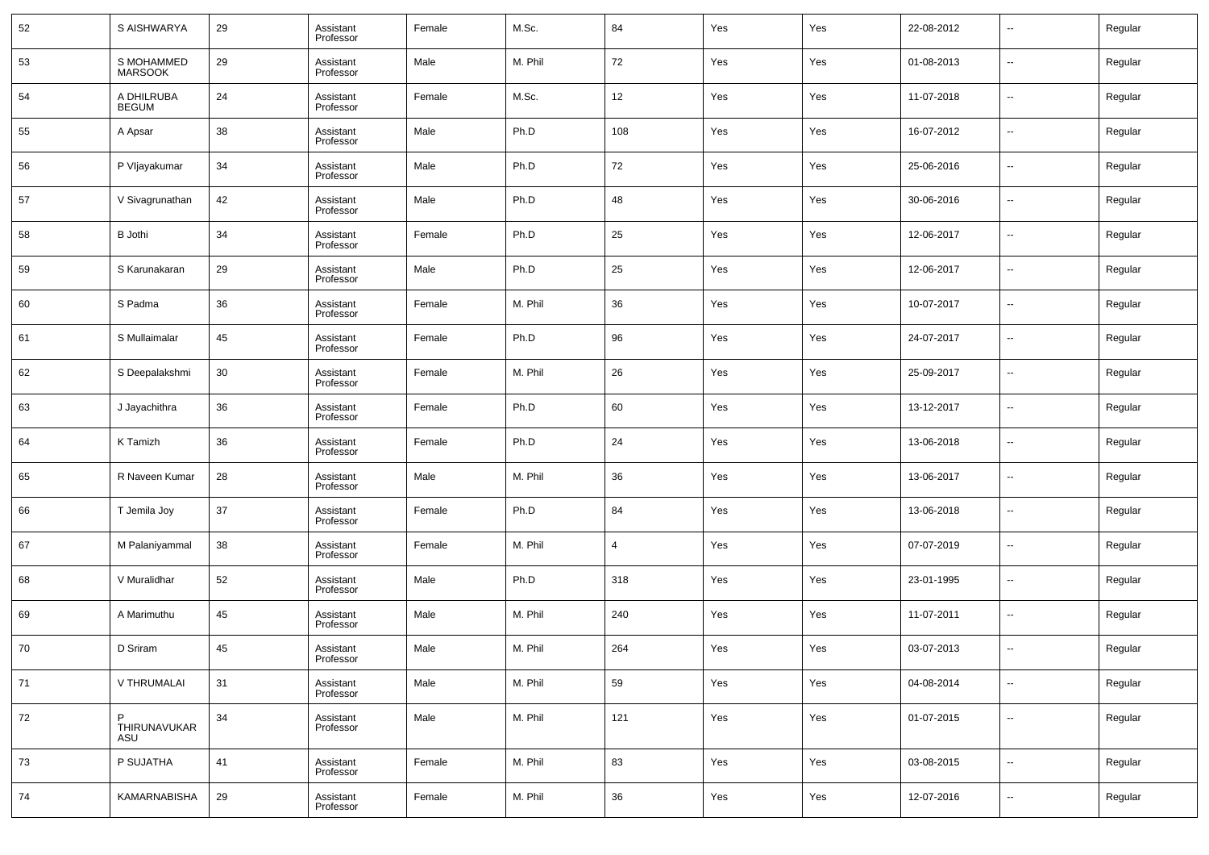| 52 | S AISHWARYA                  | 29 | Assistant<br>Professor | Female | M.Sc.   | 84             | Yes | Yes | 22-08-2012 | --                       | Regular |
|----|------------------------------|----|------------------------|--------|---------|----------------|-----|-----|------------|--------------------------|---------|
| 53 | S MOHAMMED<br><b>MARSOOK</b> | 29 | Assistant<br>Professor | Male   | M. Phil | 72             | Yes | Yes | 01-08-2013 | --                       | Regular |
| 54 | A DHILRUBA<br><b>BEGUM</b>   | 24 | Assistant<br>Professor | Female | M.Sc.   | 12             | Yes | Yes | 11-07-2018 | --                       | Regular |
| 55 | A Apsar                      | 38 | Assistant<br>Professor | Male   | Ph.D    | 108            | Yes | Yes | 16-07-2012 | $\sim$                   | Regular |
| 56 | P Vljayakumar                | 34 | Assistant<br>Professor | Male   | Ph.D    | 72             | Yes | Yes | 25-06-2016 | --                       | Regular |
| 57 | V Sivagrunathan              | 42 | Assistant<br>Professor | Male   | Ph.D    | 48             | Yes | Yes | 30-06-2016 | $\sim$                   | Regular |
| 58 | <b>B</b> Jothi               | 34 | Assistant<br>Professor | Female | Ph.D    | 25             | Yes | Yes | 12-06-2017 | --                       | Regular |
| 59 | S Karunakaran                | 29 | Assistant<br>Professor | Male   | Ph.D    | 25             | Yes | Yes | 12-06-2017 | --                       | Regular |
| 60 | S Padma                      | 36 | Assistant<br>Professor | Female | M. Phil | 36             | Yes | Yes | 10-07-2017 | --                       | Regular |
| 61 | S Mullaimalar                | 45 | Assistant<br>Professor | Female | Ph.D    | 96             | Yes | Yes | 24-07-2017 | --                       | Regular |
| 62 | S Deepalakshmi               | 30 | Assistant<br>Professor | Female | M. Phil | 26             | Yes | Yes | 25-09-2017 | --                       | Regular |
| 63 | J Jayachithra                | 36 | Assistant<br>Professor | Female | Ph.D    | 60             | Yes | Yes | 13-12-2017 | --                       | Regular |
| 64 | K Tamizh                     | 36 | Assistant<br>Professor | Female | Ph.D    | 24             | Yes | Yes | 13-06-2018 | --                       | Regular |
| 65 | R Naveen Kumar               | 28 | Assistant<br>Professor | Male   | M. Phil | 36             | Yes | Yes | 13-06-2017 | --                       | Regular |
| 66 | T Jemila Joy                 | 37 | Assistant<br>Professor | Female | Ph.D    | 84             | Yes | Yes | 13-06-2018 | --                       | Regular |
| 67 | M Palaniyammal               | 38 | Assistant<br>Professor | Female | M. Phil | $\overline{4}$ | Yes | Yes | 07-07-2019 | --                       | Regular |
| 68 | V Muralidhar                 | 52 | Assistant<br>Professor | Male   | Ph.D    | 318            | Yes | Yes | 23-01-1995 | --                       | Regular |
| 69 | A Marimuthu                  | 45 | Assistant<br>Professor | Male   | M. Phil | 240            | Yes | Yes | 11-07-2011 | --                       | Regular |
| 70 | D Sriram                     | 45 | Assistant<br>Professor | Male   | M. Phil | 264            | Yes | Yes | 03-07-2013 | --                       | Regular |
| 71 | V THRUMALAI                  | 31 | Assistant<br>Professor | Male   | M. Phil | 59             | Yes | Yes | 04-08-2014 | $\sim$                   | Regular |
| 72 | P<br>THIRUNAVUKAR<br>ASU     | 34 | Assistant<br>Professor | Male   | M. Phil | 121            | Yes | Yes | 01-07-2015 | $\sim$                   | Regular |
| 73 | P SUJATHA                    | 41 | Assistant<br>Professor | Female | M. Phil | 83             | Yes | Yes | 03-08-2015 | $\overline{\phantom{a}}$ | Regular |
| 74 | KAMARNABISHA                 | 29 | Assistant<br>Professor | Female | M. Phil | 36             | Yes | Yes | 12-07-2016 | $\overline{\phantom{a}}$ | Regular |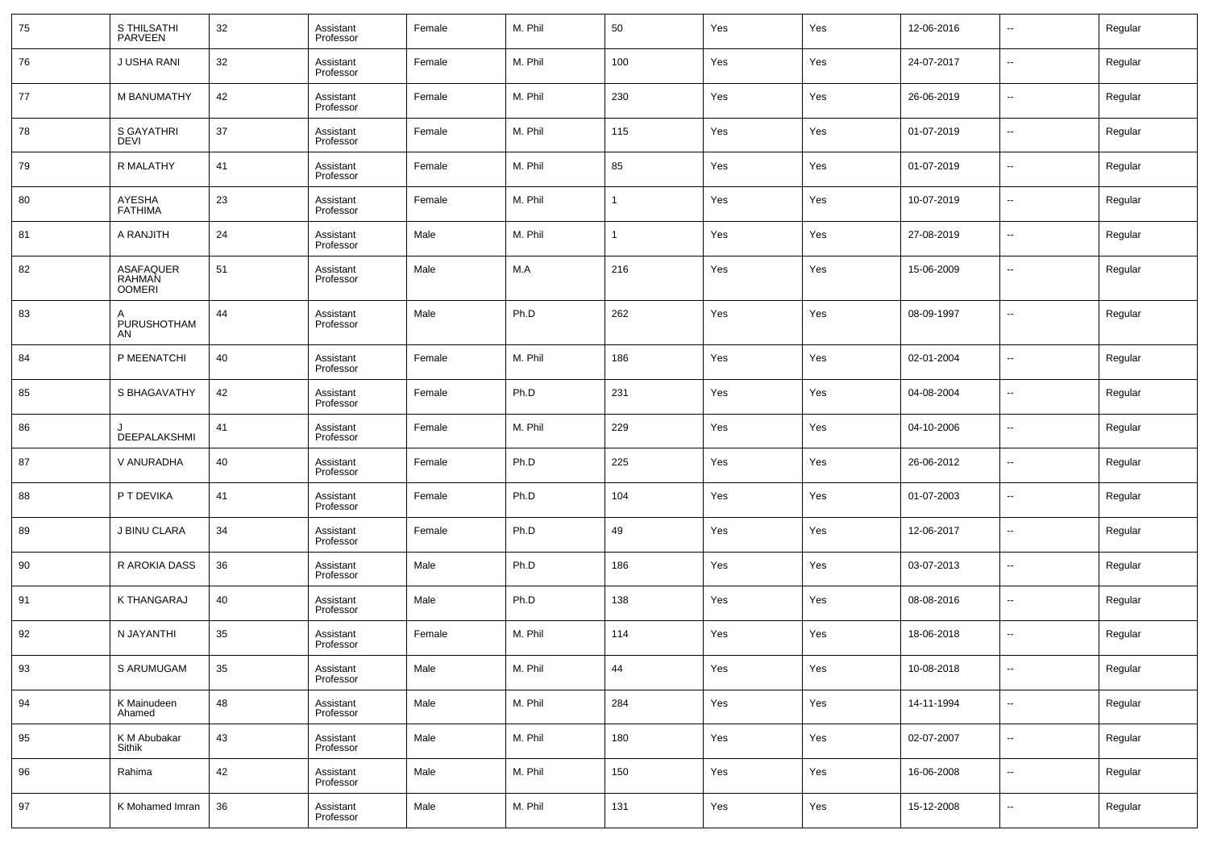| 75 | S THILSATHI<br>PARVEEN        | 32 | Assistant<br>Professor | Female | M. Phil | 50  | Yes | Yes | 12-06-2016 | $\sim$                   | Regular |
|----|-------------------------------|----|------------------------|--------|---------|-----|-----|-----|------------|--------------------------|---------|
| 76 | J USHA RANI                   | 32 | Assistant<br>Professor | Female | M. Phil | 100 | Yes | Yes | 24-07-2017 | --                       | Regular |
| 77 | M BANUMATHY                   | 42 | Assistant<br>Professor | Female | M. Phil | 230 | Yes | Yes | 26-06-2019 | $\overline{\phantom{a}}$ | Regular |
| 78 | S GAYATHRI<br><b>DEVI</b>     | 37 | Assistant<br>Professor | Female | M. Phil | 115 | Yes | Yes | 01-07-2019 | --                       | Regular |
| 79 | R MALATHY                     | 41 | Assistant<br>Professor | Female | M. Phil | 85  | Yes | Yes | 01-07-2019 | $\overline{\phantom{a}}$ | Regular |
| 80 | AYESHA<br><b>FATHIMA</b>      | 23 | Assistant<br>Professor | Female | M. Phil |     | Yes | Yes | 10-07-2019 | --                       | Regular |
| 81 | A RANJITH                     | 24 | Assistant<br>Professor | Male   | M. Phil | 1   | Yes | Yes | 27-08-2019 | $\overline{\phantom{a}}$ | Regular |
| 82 | ASAFAQUER<br>RAHMAN<br>OOMERI | 51 | Assistant<br>Professor | Male   | M.A     | 216 | Yes | Yes | 15-06-2009 | --                       | Regular |
| 83 | PURUSHOTHAM<br>AN             | 44 | Assistant<br>Professor | Male   | Ph.D    | 262 | Yes | Yes | 08-09-1997 | --                       | Regular |
| 84 | P MEENATCHI                   | 40 | Assistant<br>Professor | Female | M. Phil | 186 | Yes | Yes | 02-01-2004 | --                       | Regular |
| 85 | S BHAGAVATHY                  | 42 | Assistant<br>Professor | Female | Ph.D    | 231 | Yes | Yes | 04-08-2004 | --                       | Regular |
| 86 | DEEPALAKSHMI                  | 41 | Assistant<br>Professor | Female | M. Phil | 229 | Yes | Yes | 04-10-2006 | --                       | Regular |
| 87 | V ANURADHA                    | 40 | Assistant<br>Professor | Female | Ph.D    | 225 | Yes | Yes | 26-06-2012 | --                       | Regular |
| 88 | P T DEVIKA                    | 41 | Assistant<br>Professor | Female | Ph.D    | 104 | Yes | Yes | 01-07-2003 | --                       | Regular |
| 89 | J BINU CLARA                  | 34 | Assistant<br>Professor | Female | Ph.D    | 49  | Yes | Yes | 12-06-2017 | --                       | Regular |
| 90 | R AROKIA DASS                 | 36 | Assistant<br>Professor | Male   | Ph.D    | 186 | Yes | Yes | 03-07-2013 | --                       | Regular |
| 91 | K THANGARAJ                   | 40 | Assistant<br>Professor | Male   | Ph.D    | 138 | Yes | Yes | 08-08-2016 | --                       | Regular |
| 92 | N JAYANTHI                    | 35 | Assistant<br>Professor | Female | M. Phil | 114 | Yes | Yes | 18-06-2018 | --                       | Regular |
| 93 | S ARUMUGAM                    | 35 | Assistant<br>Professor | Male   | M. Phil | 44  | Yes | Yes | 10-08-2018 | $\sim$                   | Regular |
| 94 | K Mainudeen<br>Ahamed         | 48 | Assistant<br>Professor | Male   | M. Phil | 284 | Yes | Yes | 14-11-1994 | $\sim$                   | Regular |
| 95 | K M Abubakar<br>Sithik        | 43 | Assistant<br>Professor | Male   | M. Phil | 180 | Yes | Yes | 02-07-2007 | $\sim$                   | Regular |
| 96 | Rahima                        | 42 | Assistant<br>Professor | Male   | M. Phil | 150 | Yes | Yes | 16-06-2008 | $\sim$                   | Regular |
| 97 | K Mohamed Imran               | 36 | Assistant<br>Professor | Male   | M. Phil | 131 | Yes | Yes | 15-12-2008 | $\sim$                   | Regular |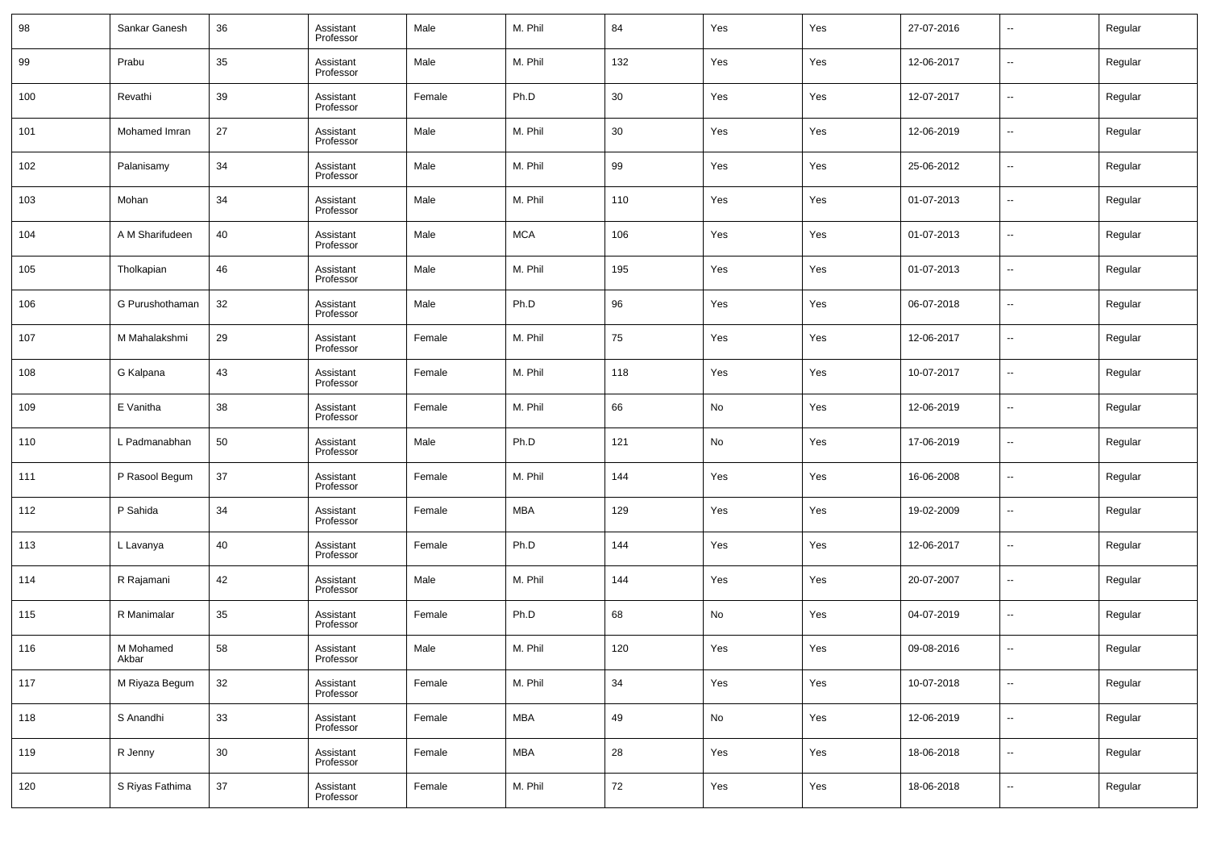| 98  | Sankar Ganesh      | 36     | Assistant<br>Professor | Male   | M. Phil    | 84         | Yes        | Yes | 27-07-2016 | $\overline{\phantom{a}}$ | Regular |
|-----|--------------------|--------|------------------------|--------|------------|------------|------------|-----|------------|--------------------------|---------|
| 99  | Prabu              | 35     | Assistant<br>Professor | Male   | M. Phil    | 132        | Yes        | Yes | 12-06-2017 | $\overline{\phantom{a}}$ | Regular |
| 100 | Revathi            | 39     | Assistant<br>Professor | Female | Ph.D       | 30         | Yes        | Yes | 12-07-2017 | $\overline{\phantom{a}}$ | Regular |
| 101 | Mohamed Imran      | 27     | Assistant<br>Professor | Male   | M. Phil    | 30         | Yes        | Yes | 12-06-2019 | $\overline{\phantom{a}}$ | Regular |
| 102 | Palanisamy         | 34     | Assistant<br>Professor | Male   | M. Phil    | 99         | Yes        | Yes | 25-06-2012 | $\overline{\phantom{a}}$ | Regular |
| 103 | Mohan              | 34     | Assistant<br>Professor | Male   | M. Phil    | 110        | Yes        | Yes | 01-07-2013 | $\overline{\phantom{a}}$ | Regular |
| 104 | A M Sharifudeen    | 40     | Assistant<br>Professor | Male   | <b>MCA</b> | 106        | Yes        | Yes | 01-07-2013 | $\overline{\phantom{a}}$ | Regular |
| 105 | Tholkapian         | 46     | Assistant<br>Professor | Male   | M. Phil    | 195        | Yes        | Yes | 01-07-2013 | $\overline{\phantom{a}}$ | Regular |
| 106 | G Purushothaman    | 32     | Assistant<br>Professor | Male   | Ph.D       | 96         | Yes        | Yes | 06-07-2018 | $\overline{\phantom{a}}$ | Regular |
| 107 | M Mahalakshmi      | 29     | Assistant<br>Professor | Female | M. Phil    | 75         | Yes        | Yes | 12-06-2017 | $\overline{\phantom{a}}$ | Regular |
| 108 | G Kalpana          | 43     | Assistant<br>Professor | Female | M. Phil    | 118        | Yes        | Yes | 10-07-2017 | $\overline{\phantom{a}}$ | Regular |
| 109 | E Vanitha          | 38     | Assistant<br>Professor | Female | M. Phil    | 66         | No         | Yes | 12-06-2019 | $\overline{\phantom{a}}$ | Regular |
| 110 | L Padmanabhan      | 50     | Assistant<br>Professor | Male   | Ph.D       | 121        | No         | Yes | 17-06-2019 | $\overline{\phantom{a}}$ | Regular |
| 111 | P Rasool Begum     | 37     | Assistant<br>Professor | Female | M. Phil    | 144        | Yes        | Yes | 16-06-2008 | $\overline{\phantom{a}}$ | Regular |
| 112 | P Sahida           | 34     | Assistant<br>Professor | Female | <b>MBA</b> | 129        | Yes        | Yes | 19-02-2009 | $\overline{\phantom{a}}$ | Regular |
| 113 | L Lavanya          | 40     | Assistant<br>Professor | Female | Ph.D       | 144        | Yes        | Yes | 12-06-2017 | $\overline{\phantom{a}}$ | Regular |
| 114 | R Rajamani         | 42     | Assistant<br>Professor | Male   | M. Phil    | 144        | Yes        | Yes | 20-07-2007 | $\overline{\phantom{a}}$ | Regular |
| 115 | R Manimalar        | 35     | Assistant<br>Professor | Female | Ph.D       | 68         | No         | Yes | 04-07-2019 | $\overline{\phantom{a}}$ | Regular |
| 116 | M Mohamed<br>Akbar | 58     | Assistant<br>Professor | Male   | M. Phil    | 120        | Yes        | Yes | 09-08-2016 | $\overline{\phantom{a}}$ | Regular |
| 117 | M Riyaza Begum     | $32\,$ | Assistant<br>Professor | Female | M. Phil    | $34\,$     | Yes        | Yes | 10-07-2018 | $\overline{\phantom{a}}$ | Regular |
| 118 | S Anandhi          | 33     | Assistant<br>Professor | Female | <b>MBA</b> | 49         | ${\sf No}$ | Yes | 12-06-2019 | $\sim$                   | Regular |
| 119 | R Jenny            | $30\,$ | Assistant<br>Professor | Female | <b>MBA</b> | ${\bf 28}$ | Yes        | Yes | 18-06-2018 | $\overline{\phantom{a}}$ | Regular |
| 120 | S Riyas Fathima    | 37     | Assistant<br>Professor | Female | M. Phil    | 72         | Yes        | Yes | 18-06-2018 | $\overline{\phantom{a}}$ | Regular |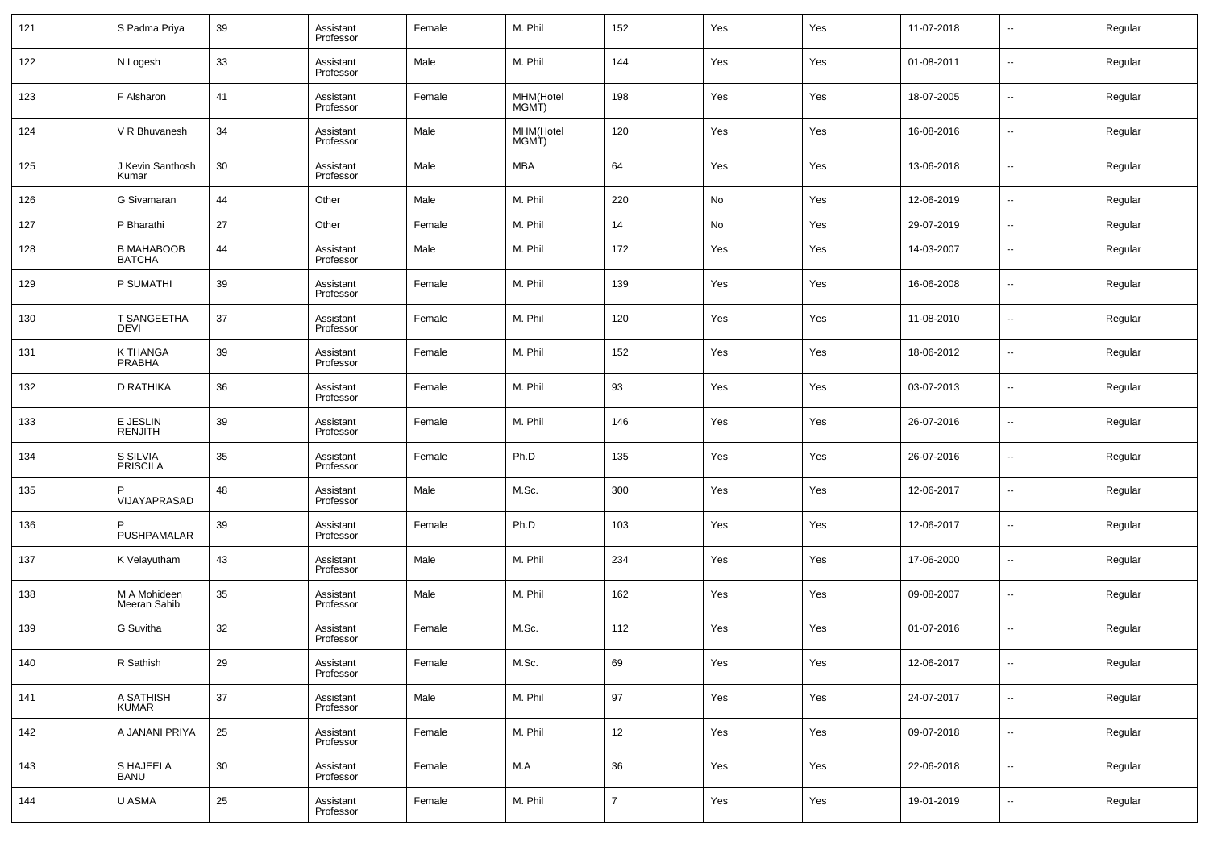| 121 | S Padma Priya                      | 39 | Assistant<br>Professor | Female | M. Phil            | 152            | Yes | Yes | 11-07-2018 | $\overline{\phantom{a}}$ | Regular |
|-----|------------------------------------|----|------------------------|--------|--------------------|----------------|-----|-----|------------|--------------------------|---------|
| 122 | N Logesh                           | 33 | Assistant<br>Professor | Male   | M. Phil            | 144            | Yes | Yes | 01-08-2011 | $\overline{\phantom{a}}$ | Regular |
| 123 | F Alsharon                         | 41 | Assistant<br>Professor | Female | MHM(Hotel<br>MGMT) | 198            | Yes | Yes | 18-07-2005 | $\overline{\phantom{a}}$ | Regular |
| 124 | V R Bhuvanesh                      | 34 | Assistant<br>Professor | Male   | MHM(Hotel<br>MGMT) | 120            | Yes | Yes | 16-08-2016 | $\overline{\phantom{a}}$ | Regular |
| 125 | J Kevin Santhosh<br>Kumar          | 30 | Assistant<br>Professor | Male   | MBA                | 64             | Yes | Yes | 13-06-2018 | $\overline{\phantom{a}}$ | Regular |
| 126 | G Sivamaran                        | 44 | Other                  | Male   | M. Phil            | 220            | No  | Yes | 12-06-2019 | $\overline{\phantom{a}}$ | Regular |
| 127 | P Bharathi                         | 27 | Other                  | Female | M. Phil            | 14             | No  | Yes | 29-07-2019 | $\overline{\phantom{a}}$ | Regular |
| 128 | <b>B MAHABOOB</b><br><b>BATCHA</b> | 44 | Assistant<br>Professor | Male   | M. Phil            | 172            | Yes | Yes | 14-03-2007 | $\overline{\phantom{a}}$ | Regular |
| 129 | P SUMATHI                          | 39 | Assistant<br>Professor | Female | M. Phil            | 139            | Yes | Yes | 16-06-2008 | $\overline{\phantom{a}}$ | Regular |
| 130 | T SANGEETHA<br><b>DEVI</b>         | 37 | Assistant<br>Professor | Female | M. Phil            | 120            | Yes | Yes | 11-08-2010 | $\overline{\phantom{a}}$ | Regular |
| 131 | K THANGA<br>PRABHA                 | 39 | Assistant<br>Professor | Female | M. Phil            | 152            | Yes | Yes | 18-06-2012 | $\overline{\phantom{a}}$ | Regular |
| 132 | D RATHIKA                          | 36 | Assistant<br>Professor | Female | M. Phil            | 93             | Yes | Yes | 03-07-2013 | $\overline{\phantom{a}}$ | Regular |
| 133 | E JESLIN<br><b>RENJITH</b>         | 39 | Assistant<br>Professor | Female | M. Phil            | 146            | Yes | Yes | 26-07-2016 | $\overline{\phantom{a}}$ | Regular |
| 134 | S SILVIA<br>PRISCILA               | 35 | Assistant<br>Professor | Female | Ph.D               | 135            | Yes | Yes | 26-07-2016 | $\overline{\phantom{a}}$ | Regular |
| 135 | VIJAYAPRASAD                       | 48 | Assistant<br>Professor | Male   | M.Sc.              | 300            | Yes | Yes | 12-06-2017 | --                       | Regular |
| 136 | PUSHPAMALAR                        | 39 | Assistant<br>Professor | Female | Ph.D               | 103            | Yes | Yes | 12-06-2017 | $\overline{\phantom{a}}$ | Regular |
| 137 | K Velayutham                       | 43 | Assistant<br>Professor | Male   | M. Phil            | 234            | Yes | Yes | 17-06-2000 | $\overline{\phantom{a}}$ | Regular |
| 138 | M A Mohideen<br>Meeran Sahib       | 35 | Assistant<br>Professor | Male   | M. Phil            | 162            | Yes | Yes | 09-08-2007 | $\sim$                   | Regular |
| 139 | G Suvitha                          | 32 | Assistant<br>Professor | Female | M.Sc.              | 112            | Yes | Yes | 01-07-2016 | $\overline{\phantom{a}}$ | Regular |
| 140 | R Sathish                          | 29 | Assistant<br>Professor | Female | M.Sc.              | 69             | Yes | Yes | 12-06-2017 | $\overline{\phantom{a}}$ | Regular |
| 141 | A SATHISH<br><b>KUMAR</b>          | 37 | Assistant<br>Professor | Male   | M. Phil            | 97             | Yes | Yes | 24-07-2017 | $\overline{\phantom{a}}$ | Regular |
| 142 | A JANANI PRIYA                     | 25 | Assistant<br>Professor | Female | M. Phil            | 12             | Yes | Yes | 09-07-2018 | ۰.                       | Regular |
| 143 | S HAJEELA<br><b>BANU</b>           | 30 | Assistant<br>Professor | Female | M.A                | 36             | Yes | Yes | 22-06-2018 | $\overline{\phantom{a}}$ | Regular |
| 144 | U ASMA                             | 25 | Assistant<br>Professor | Female | M. Phil            | $\overline{7}$ | Yes | Yes | 19-01-2019 | ۰.                       | Regular |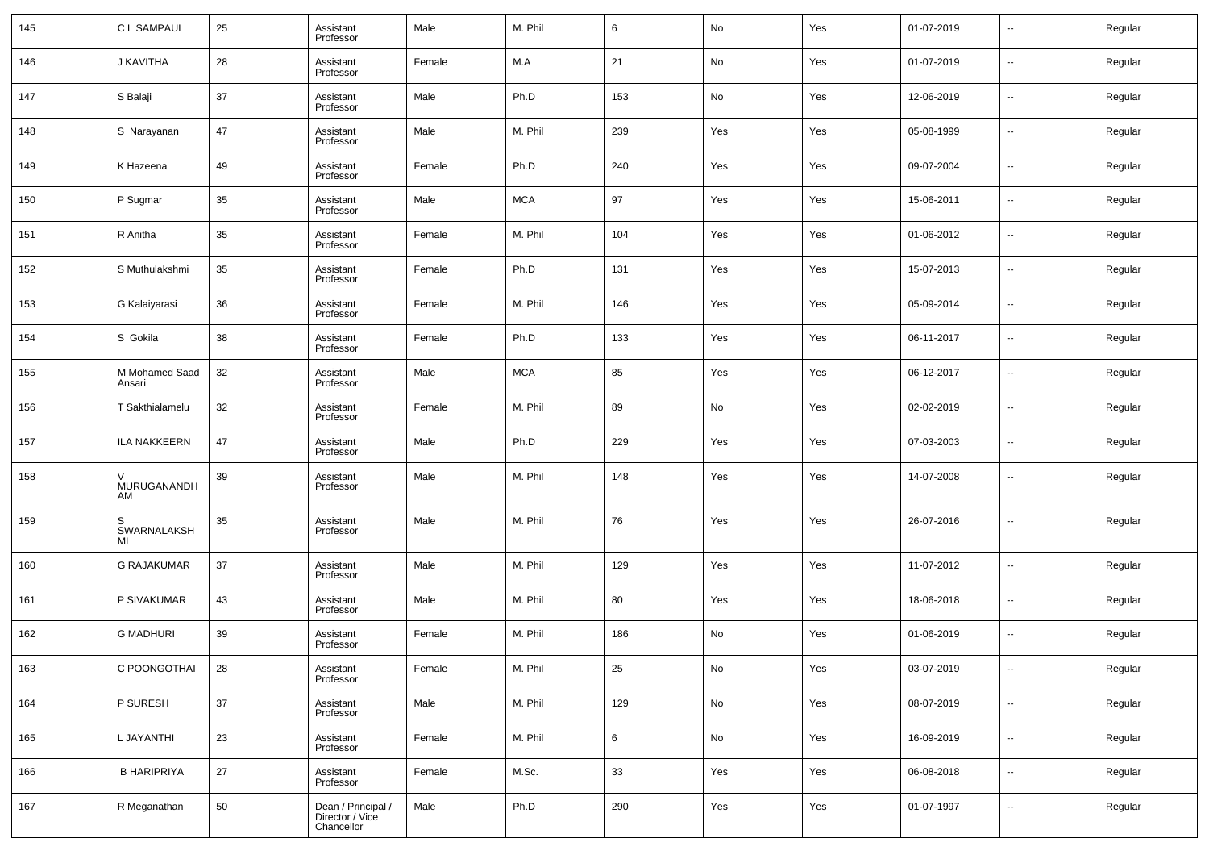| 145 | C L SAMPAUL              | 25 | Assistant<br>Professor                              | Male   | M. Phil    | 6              | No         | Yes | 01-07-2019 | н.                       | Regular |
|-----|--------------------------|----|-----------------------------------------------------|--------|------------|----------------|------------|-----|------------|--------------------------|---------|
| 146 | J KAVITHA                | 28 | Assistant<br>Professor                              | Female | M.A        | 21             | No         | Yes | 01-07-2019 | ⊷                        | Regular |
| 147 | S Balaji                 | 37 | Assistant<br>Professor                              | Male   | Ph.D       | 153            | No         | Yes | 12-06-2019 | н.                       | Regular |
| 148 | S Narayanan              | 47 | Assistant<br>Professor                              | Male   | M. Phil    | 239            | Yes        | Yes | 05-08-1999 | $\overline{\phantom{a}}$ | Regular |
| 149 | K Hazeena                | 49 | Assistant<br>Professor                              | Female | Ph.D       | 240            | Yes        | Yes | 09-07-2004 | ⊷                        | Regular |
| 150 | P Sugmar                 | 35 | Assistant<br>Professor                              | Male   | <b>MCA</b> | 97             | Yes        | Yes | 15-06-2011 | $\overline{\phantom{a}}$ | Regular |
| 151 | R Anitha                 | 35 | Assistant<br>Professor                              | Female | M. Phil    | 104            | Yes        | Yes | 01-06-2012 | ⊷                        | Regular |
| 152 | S Muthulakshmi           | 35 | Assistant<br>Professor                              | Female | Ph.D       | 131            | Yes        | Yes | 15-07-2013 | $\overline{\phantom{a}}$ | Regular |
| 153 | G Kalaiyarasi            | 36 | Assistant<br>Professor                              | Female | M. Phil    | 146            | Yes        | Yes | 05-09-2014 | ⊷                        | Regular |
| 154 | S Gokila                 | 38 | Assistant<br>Professor                              | Female | Ph.D       | 133            | Yes        | Yes | 06-11-2017 | $\overline{\phantom{a}}$ | Regular |
| 155 | M Mohamed Saad<br>Ansari | 32 | Assistant<br>Professor                              | Male   | <b>MCA</b> | 85             | Yes        | Yes | 06-12-2017 | ⊷                        | Regular |
| 156 | T Sakthialamelu          | 32 | Assistant<br>Professor                              | Female | M. Phil    | 89             | No         | Yes | 02-02-2019 | $\overline{\phantom{a}}$ | Regular |
| 157 | <b>ILA NAKKEERN</b>      | 47 | Assistant<br>Professor                              | Male   | Ph.D       | 229            | Yes        | Yes | 07-03-2003 | ⊷                        | Regular |
| 158 | V<br>MURUGANANDH<br>AM   | 39 | Assistant<br>Professor                              | Male   | M. Phil    | 148            | Yes        | Yes | 14-07-2008 | --                       | Regular |
| 159 | S<br>SWARNALAKSH<br>MI   | 35 | Assistant<br>Professor                              | Male   | M. Phil    | 76             | Yes        | Yes | 26-07-2016 | --                       | Regular |
| 160 | <b>G RAJAKUMAR</b>       | 37 | Assistant<br>Professor                              | Male   | M. Phil    | 129            | Yes        | Yes | 11-07-2012 | $\overline{\phantom{a}}$ | Regular |
| 161 | P SIVAKUMAR              | 43 | Assistant<br>Professor                              | Male   | M. Phil    | 80             | Yes        | Yes | 18-06-2018 | ⊷                        | Regular |
| 162 | <b>G MADHURI</b>         | 39 | Assistant<br>Professor                              | Female | M. Phil    | 186            | No         | Yes | 01-06-2019 | --                       | Regular |
| 163 | C POONGOTHAI             | 28 | Assistant<br>Professor                              | Female | M. Phil    | 25             | ${\sf No}$ | Yes | 03-07-2019 | $\sim$                   | Regular |
| 164 | P SURESH                 | 37 | Assistant<br>Professor                              | Male   | M. Phil    | 129            | ${\sf No}$ | Yes | 08-07-2019 | н.                       | Regular |
| 165 | L JAYANTHI               | 23 | Assistant<br>Professor                              | Female | M. Phil    | $6\phantom{.}$ | No         | Yes | 16-09-2019 | н.                       | Regular |
| 166 | <b>B HARIPRIYA</b>       | 27 | Assistant<br>Professor                              | Female | M.Sc.      | 33             | Yes        | Yes | 06-08-2018 | $\sim$                   | Regular |
| 167 | R Meganathan             | 50 | Dean / Principal /<br>Director / Vice<br>Chancellor | Male   | Ph.D       | 290            | Yes        | Yes | 01-07-1997 | $\sim$                   | Regular |